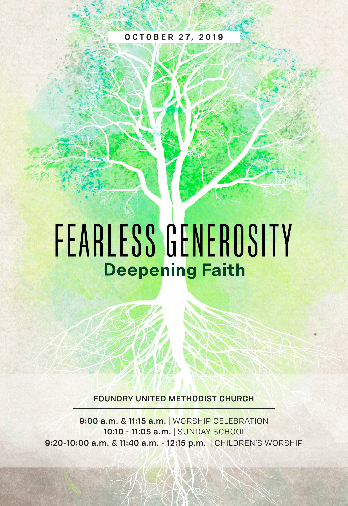#### **OCTOBER 27, 2019**

# FEARLESS GENEROSITY **Deepening Faith**

FOUNDRY UNITED METHODIST CHURCH

9:00 a.m. & 11:15 a.m. | WORSHIP CELEBRATION 10:10 - 11:05 a.m. | SUNDAY SCHOOL 9:20-10:00 a.m. & 11:40 a.m. - 12:15 p.m. | CHILDREN'S WORSHIP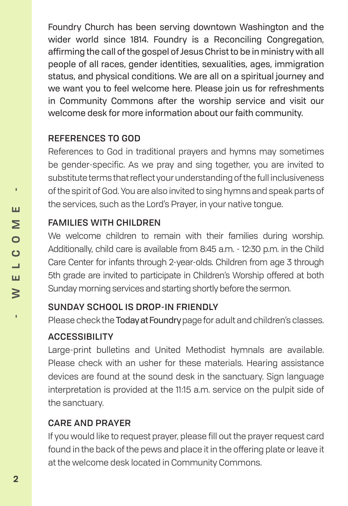Foundry Church has been serving downtown Washington and the wider world since 1814. Foundry is a Reconciling Congregation, affirming the call of the gospel of Jesus Christ to be in ministry with all people of all races, gender identities, sexualities, ages, immigration status, and physical conditions. We are all on a spiritual journey and we want you to feel welcome here. Please join us for refreshments in Community Commons after the worship service and visit our welcome desk for more information about our faith community.

#### REFERENCES TO GOD

References to God in traditional prayers and hymns may sometimes be gender-specific. As we pray and sing together, you are invited to substitute terms that reflect your understanding of the full inclusiveness of the spirit of God. You are also invited to sing hymns and speak parts of the services, such as the Lord's Prayer, in your native tongue.

#### FAMILIES WITH CHILDREN

We welcome children to remain with their families during worship. Additionally, child care is available from 8:45 a.m. - 12:30 p.m. in the Child Care Center for infants through 2-year-olds. Children from age 3 through 5th grade are invited to participate in Children's Worship offered at both Sunday morning services and starting shortly before the sermon.

### SUNDAY SCHOOL IS DROP-IN FRIENDLY

Please check the Today at Foundrypage for adult and children's classes.

### **ACCESSIBILITY**

Large-print bulletins and United Methodist hymnals are available. Please check with an usher for these materials. Hearing assistance devices are found at the sound desk in the sanctuary. Sign language interpretation is provided at the 11:15 a.m. service on the pulpit side of the sanctuary.

### CARE AND PRAYER

If you would like to request prayer, please fill out the prayer request card found in the back of the pews and place it in the offering plate or leave it at the welcome desk located in Community Commons.

r,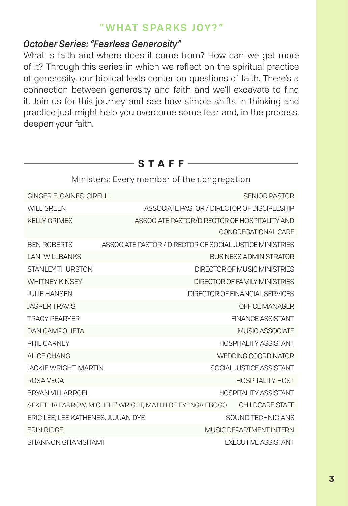#### **" WHAT SPARKS JOY?"**

#### *October Series: "Fearless Generosity"*

What is faith and where does it come from? How can we get more of it? Through this series in which we reflect on the spiritual practice of generosity, our biblical texts center on questions of faith. There's a connection between generosity and faith and we'll excavate to find it. Join us for this journey and see how simple shifts in thinking and practice just might help you overcome some fear and, in the process, deepen your faith.

 $-$ **STAFF** $-$ 

| Ministers: Every member of the congregation                                |                                                          |                                |  |
|----------------------------------------------------------------------------|----------------------------------------------------------|--------------------------------|--|
| GINGER E. GAINES-CIRELLI                                                   |                                                          | SENIOR PASTOR                  |  |
| ASSOCIATE PASTOR / DIRECTOR OF DISCIPLESHIP<br>WILL GREEN                  |                                                          |                                |  |
| KFI I Y GRIMES                                                             | ASSOCIATE PASTOR/DIRECTOR OF HOSPITALITY AND             |                                |  |
|                                                                            |                                                          | CONGREGATIONAL CARE            |  |
| <b>BEN ROBERTS</b>                                                         | ASSOCIATE PASTOR / DIRECTOR OF SOCIAL JUSTICE MINISTRIES |                                |  |
| <b>LANI WILL BANKS</b>                                                     |                                                          | <b>BUSINESS ADMINISTRATOR</b>  |  |
| STANI FY THURSTON                                                          |                                                          | DIRECTOR OF MUSIC MINISTRIES   |  |
| <b>WHITNFY KINSFY</b>                                                      |                                                          | DIRECTOR OF FAMILY MINISTRIES  |  |
| <b>JULIE HANSEN</b>                                                        |                                                          | DIRECTOR OF FINANCIAL SERVICES |  |
| <b>JASPER TRAVIS</b>                                                       | OFFICE MANAGER                                           |                                |  |
| <b>TRACY PFARYFR</b>                                                       |                                                          | <b>FINANCE ASSISTANT</b>       |  |
| <b>DAN CAMPOLIETA</b>                                                      |                                                          | MUSIC ASSOCIATE                |  |
| <b>PHII CARNEY</b>                                                         | <b>HOSPITAL ITY ASSISTANT</b>                            |                                |  |
| ALICE CHANG                                                                |                                                          | WEDDING COORDINATOR            |  |
| <b>JACKIE WRIGHT-MARTIN</b>                                                |                                                          | SOCIAL JUSTICE ASSISTANT       |  |
| ROSA VEGA                                                                  |                                                          | <b>HOSPITALITY HOST</b>        |  |
| BRYAN VII LARROFI                                                          |                                                          | <b>HOSPITALITY ASSISTANT</b>   |  |
| SEKETHIA FARROW, MICHELE' WRIGHT, MATHILDE EYENGA EBOGO<br>CHILDCARE STAFF |                                                          |                                |  |
| ERIC LEE, LEE KATHENES, JUJUAN DYE                                         |                                                          | SOUND TECHNICIANS              |  |
| <b>FRIN RIDGE</b><br>MUSIC DEPARTMENT INTERN                               |                                                          |                                |  |
| SHANNON GHAMGHAMI                                                          |                                                          | <b>FXFCUTIVE ASSISTANT</b>     |  |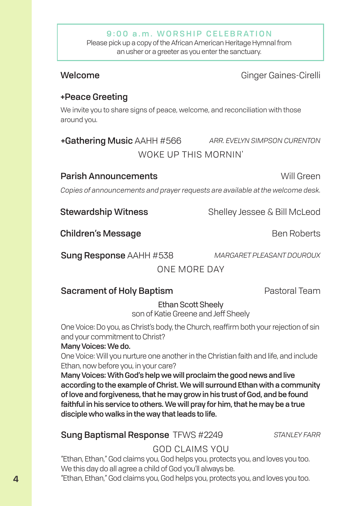#### 9:00 a.m. WORSHIP CELEBRATION

Please pick up a copy of the African American Heritage Hymnal from an usher or a greeter as you enter the sanctuary.

#### Welcome **Ginger Gaines-Cirelli**

### +Peace Greeting

We invite you to share signs of peace, welcome, and reconciliation with those around you.

### +Gathering Music AAHH #566 *ARR. EVELYN SIMPSON CURENTON* WOKE UP THIS MORNIN'

#### **Parish Announcements Will Green**

*Copies of announcements and prayer requests are available at the welcome desk.*

**Stewardship Witness** Shelley Jessee & Bill McLeod

Children's Message **Ben Roberts** Ben Roberts

Sung Response AAHH #538 *MARGARET PLEASANT DOUROUX*

ONE MORE DAY

#### Sacrament of Holy Baptism **Pastoral Team**

Ethan Scott Sheely son of Katie Greene and Jeff Sheely

One Voice: Do you, as Christ's body, the Church, reaffirm both your rejection of sin and your commitment to Christ?

#### Many Voices: We do.

One Voice: Will you nurture one another in the Christian faith and life, and include Ethan, now before you, in your care?

Many Voices: With God's help we will proclaim the good news and live according to the example of Christ. We will surround Ethan with a community of love and forgiveness, that he may grow in his trust of God, and be found faithful in his service to others. We will pray for him, that he may be a true disciple who walks in the way that leads to life.

#### Sung Baptismal Response TFWS #2249 *STANLEY FARR*

#### GOD CLAIMS YOU

"Ethan, Ethan," God claims you, God helps you, protects you, and loves you too. We this day do all agree a child of God you'll always be.

"Ethan, Ethan," God claims you, God helps you, protects you, and loves you too.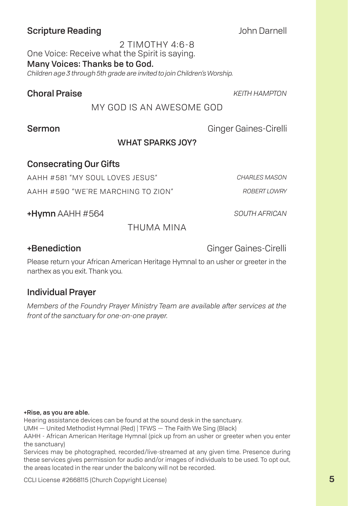#### Scripture Reading **Scripture Reading John Darnell**

2 TIMOTHY 4:6-8 One Voice: Receive what the Spirit is saying. Many Voices: Thanks be to God. *Children age 3 through 5th grade are invited to join Children's Worship.*

#### Choral Praise *KEITH HAMPTON*

MY GOD IS AN AWESOME GOD

Sermon Ginger Gaines-Cirelli

#### WHAT SPARKS JOY?

#### Consecrating Our Gifts

AAHH #581 "MY SOUL LOVES JESUS" *CHARLES MASON*

AAHH #590 "WE'RE MARCHING TO ZION" *ROBERT LOWRY*

+Hymn AAHH #564 *SOUTH AFRICAN*

THUMA MINA

+Benediction Ginger Gaines-Cirelli

Please return your African American Heritage Hymnal to an usher or greeter in the narthex as you exit. Thank you.

#### Individual Prayer

*Members of the Foundry Prayer Ministry Team are available after services at the front of the sanctuary for one-on-one prayer.*

#### +Rise, as you are able.

Hearing assistance devices can be found at the sound desk in the sanctuary.

UMH — United Methodist Hymnal (Red) | TFWS — The Faith We Sing (Black)

AAHH - African American Heritage Hymnal (pick up from an usher or greeter when you enter the sanctuary)

Services may be photographed, recorded/live-streamed at any given time. Presence during these services gives permission for audio and/or images of individuals to be used. To opt out, the areas located in the rear under the balcony will not be recorded.

CCLI License #2668115 (Church Copyright License)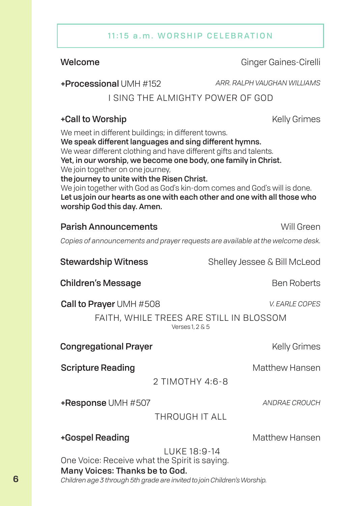#### 11:15 a.m. WORSHIP CELEBRATION

Welcome **Ginger Gaines-Cirelli** 

+Processional UMH #152 *ARR. RALPH VAUGHAN WILLIAMS*

I SING THE ALMIGHTY POWER OF GOD

#### +Call to Worship Newsletter According to More that the Kelly Grimes

We meet in different buildings; in different towns. We speak different languages and sing different hymns. We wear different clothing and have different gifts and talents. Yet, in our worship, we become one body, one family in Christ. We join together on one journey, the journey to unite with the Risen Christ. We join together with God as God's kin-dom comes and God's will is done. Let us join our hearts as one with each other and one with all those who

worship God this day. Amen.

#### **Parish Announcements Will Green**

*Copies of announcements and prayer requests are available at the welcome desk.*

Children's Message **Ben Roberts** Ben Roberts Call to Prayer UMH #508 *V. EARLE COPES* FAITH, WHILE TREES ARE STILL IN BLOSSOM Verses 1, 2 & 5 **Congregational Prayer Entitled State Congregational Prayer** Stewardship Witness Shelley Jessee & Bill McLeod **Scripture Reading Community Community Community Community Community Community Community Community Community Community Community Community Community Community Community Community Community Community Community Community Com** 2 TIMOTHY 4:6-8 +Gospel Reading Matthew Hansen LUKE 18:9-14 +Response UMH #507 *ANDRAE CROUCH* THROUGH IT ALL

One Voice: Receive what the Spirit is saying. Many Voices: Thanks be to God. *Children age 3 through 5th grade are invited to join Children's Worship.*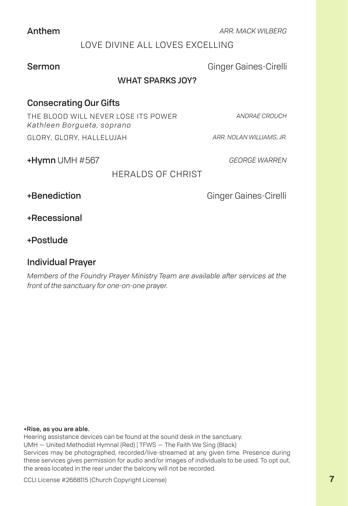Anthem *ARR. MACK WILBERG*

#### LOVE DIVINE ALL LOVES EXCELLING

Sermon Ginger Gaines-Cirelli

#### WHAT SPARKS JOY?

#### Consecrating Our Gifts

THE BLOOD WILL NEVER LOSE ITS POWER *Kathleen Borgueta, soprano*

*ANDRAE CROUCH*

GLORY, GLORY, HALLELUJAH *ARR. NOLAN WILLIAMS, JR.*

+Hymn UMH #567 *GEORGE WARREN*

HERALDS OF CHRIST

+Benediction Ginger Gaines-Cirelli

+Recessional

+Postlude

#### Individual Prayer

*Members of the Foundry Prayer Ministry Team are available after services at the front of the sanctuary for one-on-one prayer.*

#### +Rise, as you are able.

Hearing assistance devices can be found at the sound desk in the sanctuary. UMH — United Methodist Hymnal (Red) | TFWS — The Faith We Sing (Black) Services may be photographed, recorded/live-streamed at any given time. Presence during these services gives permission for audio and/or images of individuals to be used. To opt out, the areas located in the rear under the balcony will not be recorded.

CCLI License #2668115 (Church Copyright License)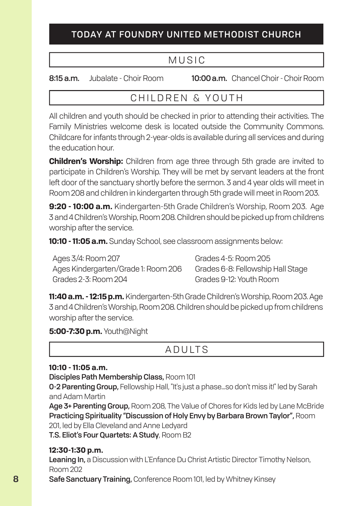#### TODAY AT FOUNDRY UNITED METHODIST CHURCH

### MUSIC

8:15 a.m. Jubalate - Choir Room 10:00 a.m. Chancel Choir - Choir Room

### CHILDREN & YOUTH

All children and youth should be checked in prior to attending their activities. The Family Ministries welcome desk is located outside the Community Commons. Childcare for infants through 2-year-olds is available during all services and during the education hour.

**Children's Worship:** Children from age three through 5th grade are invited to participate in Children's Worship. They will be met by servant leaders at the front left door of the sanctuary shortly before the sermon. 3 and 4 year olds will meet in Room 208 and children in kindergarten through 5th grade will meet in Room 203.

**9:20 - 10:00 a.m.** Kindergarten-5th Grade Children's Worship, Room 203. Age 3 and 4 Children's Worship, Room 208. Children should be picked up from childrens worship after the service.

**10:10 - 11:05 a.m.** Sunday School, see classroom assignments below:

Ages 3/4: Room 207 Ages Kindergarten/Grade 1: Room 206 Grades 2-3: Room 204

Grades 4-5: Room 205 Grades 6-8: Fellowship Hall Stage Grades 9-12: Youth Room

**11:40 a.m. - 12:15 p.m.** Kindergarten-5th Grade Children's Worship, Room 203. Age 3 and 4 Children's Worship, Room 208. Children should be picked up from childrens worship after the service.

**5:00-7:30 p.m.** Youth@Night

### ADULTS

#### **10:10 - 11:05 a.m.**

Disciples Path Membership Class, Room 101

0-2 Parenting Group, Fellowship Hall, "It's just a phase...so don't miss it!" led by Sarah and Adam Martin

Age 3+ Parenting Group, Room 208, The Value of Chores for Kids led by Lane McBride Practicing Spirituality "Discussion of Holy Envy by Barbara Brown Taylor", Room 201, led by Ella Cleveland and Anne Ledyard

T.S. Eliot's Four Quartets: A Study, Room B2

#### **12:30-1:30 p.m.**

Leaning In, a Discussion with L'Enfance Du Christ Artistic Director Timothy Nelson, Room 202

Safe Sanctuary Training, Conference Room 101, led by Whitney Kinsey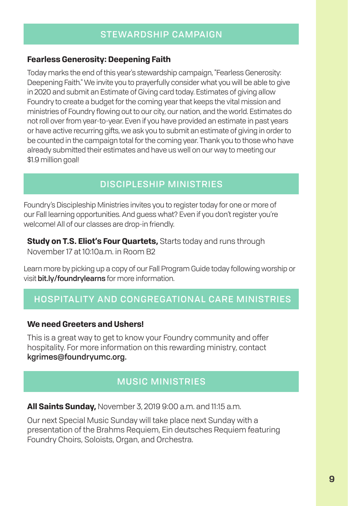#### STEWARDSHIP CAMPAIGN

#### **Fearless Generosity: Deepening Faith**

Today marks the end of this year's stewardship campaign, "Fearless Generosity: Deepening Faith." We invite you to prayerfully consider what you will be able to give in 2020 and submit an Estimate of Giving card today. Estimates of giving allow Foundry to create a budget for the coming year that keeps the vital mission and ministries of Foundry flowing out to our city, our nation, and the world. Estimates do not roll over from year-to-year. Even if you have provided an estimate in past years or have active recurring gifts, we ask you to submit an estimate of giving in order to be counted in the campaign total for the coming year. Thank you to those who have already submitted their estimates and have us well on our way to meeting our \$1.9 million goal!

#### DISCIPLESHIP MINISTRIES

Foundry's Discipleship Ministries invites you to register today for one or more of our Fall learning opportunities. And guess what? Even if you don't register you're welcome! All of our classes are drop-in friendly.

**Study on T.S. Eliot's Four Quartets,** Starts today and runs through November 17 at 10:10a m. in Room B2

Learn more by picking up a copy of our Fall Program Guide today following worship or visit bit.ly/foundrylearns for more information.

### HOSPITALITY AND CONGREGATIONAL CARE MINISTRIES

#### **We need Greeters and Ushers!**

This is a great way to get to know your Foundry community and offer hospitality. For more information on this rewarding ministry, contact kgrimes@foundryumc.org.

#### MUSIC MINISTRIES

**All Saints Sunday,** November 3, 2019 9:00 a.m. and 11:15 a.m.

Our next Special Music Sunday will take place next Sunday with a presentation of the Brahms Requiem, Ein deutsches Requiem featuring Foundry Choirs, Soloists, Organ, and Orchestra.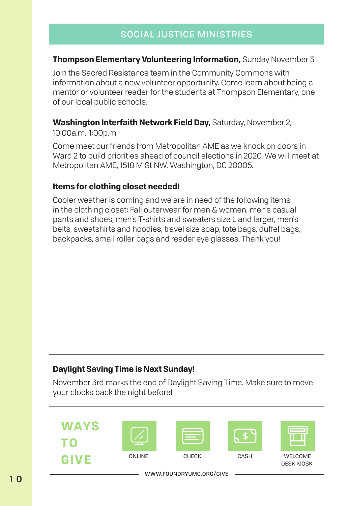#### **Thompson Elementary Volunteering Information,** Sunday November 3

Join the Sacred Resistance team in the Community Commons with information about a new volunteer opportunity. Come learn about being a mentor or volunteer reader for the students at Thompson Elementary, one of our local public schools.

#### **Washington Interfaith Network Field Day,** Saturday, November 2,

10:00a.m.-1:00p.m.

Come meet our friends from Metropolitan AME as we knock on doors in Ward 2 to build priorities ahead of council elections in 2020. We will meet at Metropolitan AME, 1518 M St NW, Washington, DC 20005.

#### **Items for clothing closet needed!**

Cooler weather is coming and we are in need of the following items in the clothing closet: Fall outerwear for men & women, men's casual pants and shoes, men's T-shirts and sweaters size L and larger, men's belts, sweatshirts and hoodies, travel size soap, tote bags, duffel bags, backpacks, small roller bags and reader eye glasses. Thank you!

#### **Daylight Saving Time is Next Sunday!**

November 3rd marks the end of Daylight Saving Time. Make sure to move your clocks back the night before!

**WAYS TO GIVE**









ONLINE CHECK CASH WELCOME DESK KIOSK

WWW.FOUNDRYUMC.ORG/GIVE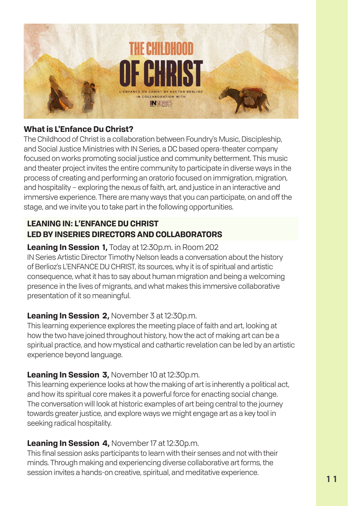

#### **What is L'Enfance Du Christ?**

The Childhood of Christ is a collaboration between Foundry's Music, Discipleship, and Social Justice Ministries with IN Series, a DC based opera-theater company focused on works promoting social justice and community betterment. This music and theater project invites the entire community to participate in diverse ways in the process of creating and performing an oratorio focused on immigration, migration, and hospitality – exploring the nexus of faith, art, and justice in an interactive and immersive experience. There are many ways that you can participate, on and off the stage, and we invite you to take part in the following opportunities.

#### **LEANING IN: L'ENFANCE DU CHRIST LED BY INSERIES DIRECTORS AND COLLABORATORS**

#### **Leaning In Session 1,** Today at 12:30p.m. in Room 202 IN Series Artistic Director Timothy Nelson leads a conversation about the history of Berlioz's L'ENFANCE DU CHRIST, its sources, why it is of spiritual and artistic consequence, what it has to say about human migration and being a welcoming presence in the lives of migrants, and what makes this immersive collaborative presentation of it so meaningful.

#### **Leaning In Session 2,** November 3 at 12:30p.m.

This learning experience explores the meeting place of faith and art, looking at how the two have joined throughout history, how the act of making art can be a spiritual practice, and how mystical and cathartic revelation can be led by an artistic experience beyond language.

#### **Leaning In Session 3,** November 10 at 12:30p.m.

This learning experience looks at how the making of art is inherently a political act, and how its spiritual core makes it a powerful force for enacting social change. The conversation will look at historic examples of art being central to the journey towards greater justice, and explore ways we might engage art as a key tool in seeking radical hospitality.

#### **Leaning In Session 4,** November 17 at 12:30p.m.

This final session asks participants to learn with their senses and not with their minds. Through making and experiencing diverse collaborative art forms, the session invites a hands-on creative, spiritual, and meditative experience.